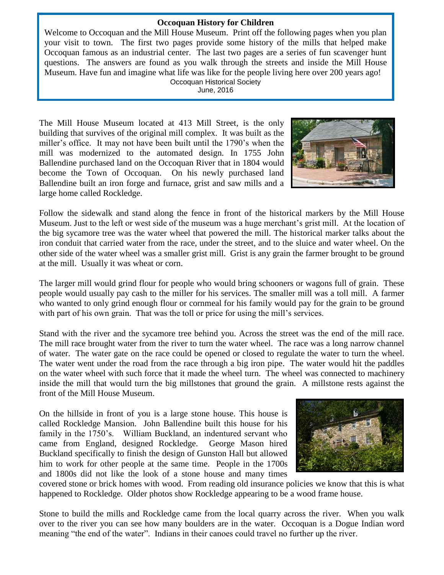## **Occoquan History for Children**

Welcome to Occoquan and the Mill House Museum. Print off the following pages when you plan your visit to town. The first two pages provide some history of the mills that helped make Occoquan famous as an industrial center. The last two pages are a series of fun scavenger hunt questions. The answers are found as you walk through the streets and inside the Mill House Museum. Have fun and imagine what life was like for the people living here over 200 years ago! Occoquan Historical Society

June, 2016

The Mill House Museum located at 413 Mill Street, is the only building that survives of the original mill complex. It was built as the miller's office. It may not have been built until the 1790's when the mill was modernized to the automated design. In 1755 John Ballendine purchased land on the Occoquan River that in 1804 would become the Town of Occoquan. On his newly purchased land Ballendine built an iron forge and furnace, grist and saw mills and a large home called Rockledge.



Follow the sidewalk and stand along the fence in front of the historical markers by the Mill House Museum. Just to the left or west side of the museum was a huge merchant's grist mill. At the location of the big sycamore tree was the water wheel that powered the mill. The historical marker talks about the iron conduit that carried water from the race, under the street, and to the sluice and water wheel. On the other side of the water wheel was a smaller grist mill. Grist is any grain the farmer brought to be ground at the mill. Usually it was wheat or corn.

The larger mill would grind flour for people who would bring schooners or wagons full of grain. These people would usually pay cash to the miller for his services. The smaller mill was a toll mill. A farmer who wanted to only grind enough flour or cornmeal for his family would pay for the grain to be ground with part of his own grain. That was the toll or price for using the mill's services.

Stand with the river and the sycamore tree behind you. Across the street was the end of the mill race. The mill race brought water from the river to turn the water wheel. The race was a long narrow channel of water. The water gate on the race could be opened or closed to regulate the water to turn the wheel. The water went under the road from the race through a big iron pipe. The water would hit the paddles on the water wheel with such force that it made the wheel turn. The wheel was connected to machinery inside the mill that would turn the big millstones that ground the grain. A millstone rests against the front of the Mill House Museum.

On the hillside in front of you is a large stone house. This house is called Rockledge Mansion. John Ballendine built this house for his family in the 1750's. William Buckland, an indentured servant who came from England, designed Rockledge. George Mason hired Buckland specifically to finish the design of Gunston Hall but allowed him to work for other people at the same time. People in the 1700s and 1800s did not like the look of a stone house and many times



covered stone or brick homes with wood. From reading old insurance policies we know that this is what happened to Rockledge. Older photos show Rockledge appearing to be a wood frame house.

Stone to build the mills and Rockledge came from the local quarry across the river. When you walk over to the river you can see how many boulders are in the water. Occoquan is a Dogue Indian word meaning "the end of the water". Indians in their canoes could travel no further up the river.